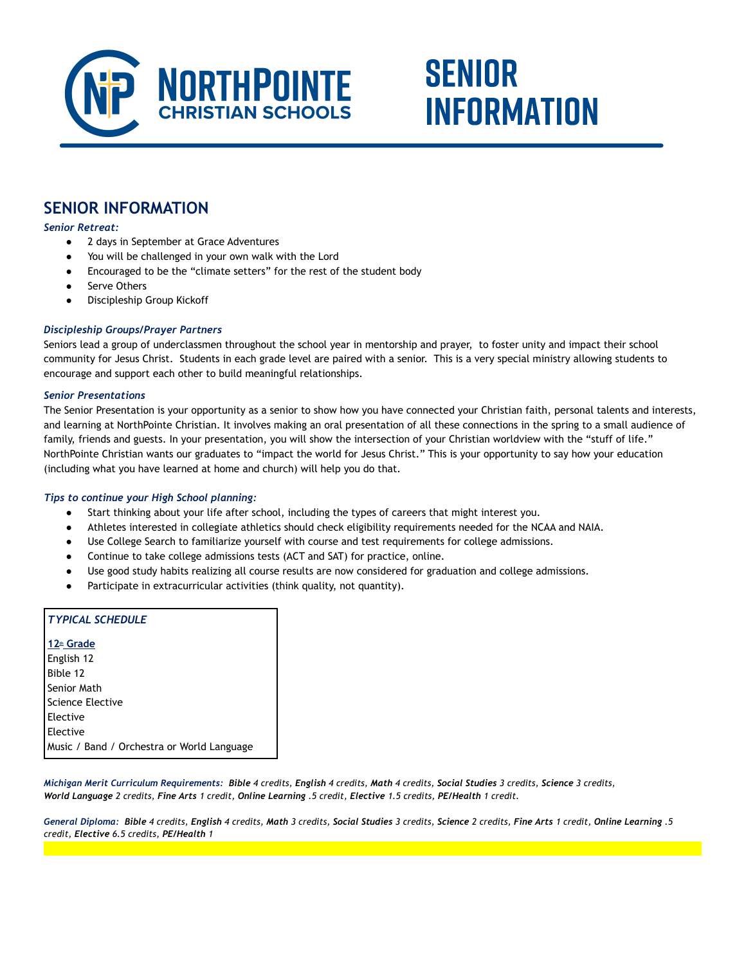

# **SENIOR INFORMATION**

## **SENIOR INFORMATION**

*Senior Retreat:*

- 2 days in September at Grace Adventures
- You will be challenged in your own walk with the Lord
- Encouraged to be the "climate setters" for the rest of the student body
- Serve Others
- Discipleship Group Kickoff

#### *Discipleship Groups/Prayer Partners*

Seniors lead a group of underclassmen throughout the school year in mentorship and prayer, to foster unity and impact their school community for Jesus Christ. Students in each grade level are paired with a senior. This is a very special ministry allowing students to encourage and support each other to build meaningful relationships.

#### *Senior Presentations*

The Senior Presentation is your opportunity as a senior to show how you have connected your Christian faith, personal talents and interests, and learning at NorthPointe Christian. It involves making an oral presentation of all these connections in the spring to a small audience of family, friends and guests. In your presentation, you will show the intersection of your Christian worldview with the "stuff of life." NorthPointe Christian wants our graduates to "impact the world for Jesus Christ." This is your opportunity to say how your education (including what you have learned at home and church) will help you do that.

#### *Tips to continue your High School planning:*

- Start thinking about your life after school, including the types of careers that might interest you.
- Athletes interested in collegiate athletics should check eligibility requirements needed for the NCAA and NAIA.
- Use College Search to familiarize yourself with course and test requirements for college admissions.
- Continue to take college admissions tests (ACT and SAT) for practice, online.
- Use good study habits realizing all course results are now considered for graduation and college admissions.
- Participate in extracurricular activities (think quality, not quantity).

| <b>TYPICAL SCHEDULE</b>                    |
|--------------------------------------------|
| 12 <sup>th</sup> Grade                     |
| English 12                                 |
| Bible 12                                   |
| l Senior Math                              |
| l Science Elective                         |
| <b>Elective</b>                            |
| <b>Elective</b>                            |
| Music / Band / Orchestra or World Language |
|                                            |

*Michigan Merit Curriculum Requirements: Bible 4 credits, English 4 credits, Math 4 credits, Social Studies 3 credits, Science 3 credits, World Language 2 credits, Fine Arts 1 credit, Online Learning .5 credit, Elective 1.5 credits, PE/Health 1 credit.*

General Diploma: Bible 4 credits, English 4 credits, Math 3 credits, Social Studies 3 credits, Science 2 credits, Fine Arts 1 credit, Online Learning .5 *credit, Elective 6.5 credits, PE/Health 1*